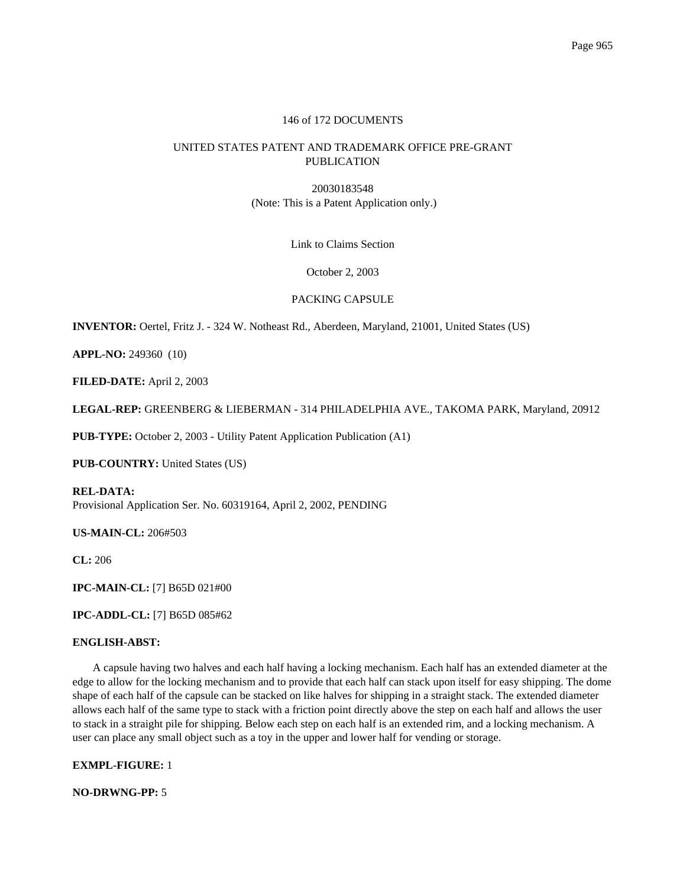# 146 of 172 DOCUMENTS

# UNITED STATES PATENT AND TRADEMARK OFFICE PRE-GRANT PUBLICATION

20030183548 (Note: This is a Patent Application only.)

Link to Claims Section

## October 2, 2003

## PACKING CAPSULE

**INVENTOR:** Oertel, Fritz J. - 324 W. Notheast Rd., Aberdeen, Maryland, 21001, United States (US)

**APPL-NO:** 249360 (10)

**FILED-DATE:** April 2, 2003

**LEGAL-REP:** GREENBERG & LIEBERMAN - 314 PHILADELPHIA AVE., TAKOMA PARK, Maryland, 20912

**PUB-TYPE:** October 2, 2003 - Utility Patent Application Publication (A1)

**PUB-COUNTRY:** United States (US)

**REL-DATA:** Provisional Application Ser. No. 60319164, April 2, 2002, PENDING

**US-MAIN-CL:** 206#503

**CL:** 206

**IPC-MAIN-CL:** [7] B65D 021#00

**IPC-ADDL-CL:** [7] B65D 085#62

## **ENGLISH-ABST:**

A capsule having two halves and each half having a locking mechanism. Each half has an extended diameter at the edge to allow for the locking mechanism and to provide that each half can stack upon itself for easy shipping. The dome shape of each half of the capsule can be stacked on like halves for shipping in a straight stack. The extended diameter allows each half of the same type to stack with a friction point directly above the step on each half and allows the user to stack in a straight pile for shipping. Below each step on each half is an extended rim, and a locking mechanism. A user can place any small object such as a toy in the upper and lower half for vending or storage.

**EXMPL-FIGURE:** 1

**NO-DRWNG-PP:** 5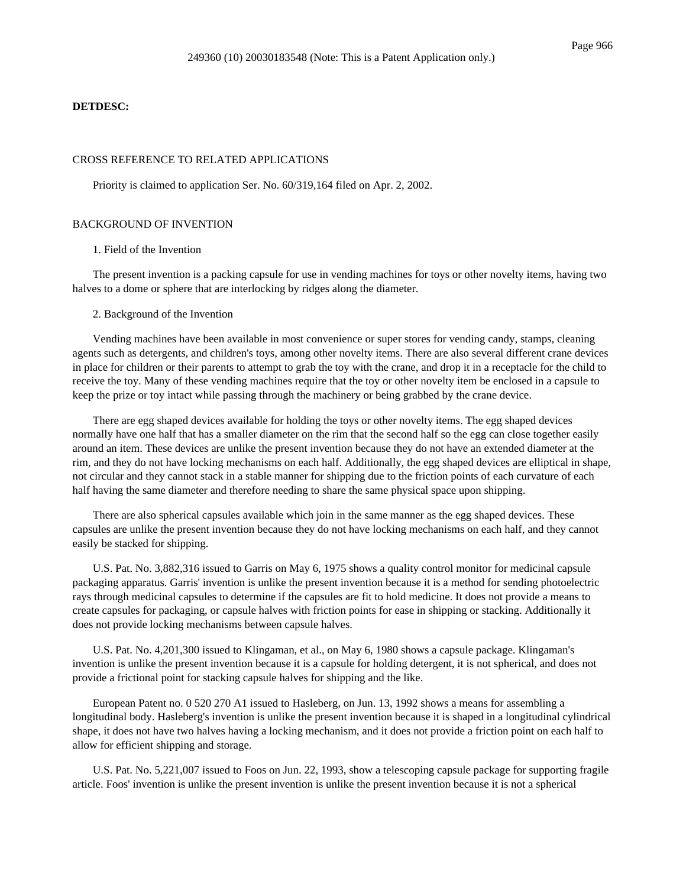#### **DETDESC:**

## CROSS REFERENCE TO RELATED APPLICATIONS

Priority is claimed to application Ser. No. 60/319,164 filed on Apr. 2, 2002.

#### BACKGROUND OF INVENTION

#### 1. Field of the Invention

The present invention is a packing capsule for use in vending machines for toys or other novelty items, having two halves to a dome or sphere that are interlocking by ridges along the diameter.

#### 2. Background of the Invention

Vending machines have been available in most convenience or super stores for vending candy, stamps, cleaning agents such as detergents, and children's toys, among other novelty items. There are also several different crane devices in place for children or their parents to attempt to grab the toy with the crane, and drop it in a receptacle for the child to receive the toy. Many of these vending machines require that the toy or other novelty item be enclosed in a capsule to keep the prize or toy intact while passing through the machinery or being grabbed by the crane device.

There are egg shaped devices available for holding the toys or other novelty items. The egg shaped devices normally have one half that has a smaller diameter on the rim that the second half so the egg can close together easily around an item. These devices are unlike the present invention because they do not have an extended diameter at the rim, and they do not have locking mechanisms on each half. Additionally, the egg shaped devices are elliptical in shape, not circular and they cannot stack in a stable manner for shipping due to the friction points of each curvature of each half having the same diameter and therefore needing to share the same physical space upon shipping.

There are also spherical capsules available which join in the same manner as the egg shaped devices. These capsules are unlike the present invention because they do not have locking mechanisms on each half, and they cannot easily be stacked for shipping.

U.S. Pat. No. 3,882,316 issued to Garris on May 6, 1975 shows a quality control monitor for medicinal capsule packaging apparatus. Garris' invention is unlike the present invention because it is a method for sending photoelectric rays through medicinal capsules to determine if the capsules are fit to hold medicine. It does not provide a means to create capsules for packaging, or capsule halves with friction points for ease in shipping or stacking. Additionally it does not provide locking mechanisms between capsule halves.

U.S. Pat. No. 4,201,300 issued to Klingaman, et al., on May 6, 1980 shows a capsule package. Klingaman's invention is unlike the present invention because it is a capsule for holding detergent, it is not spherical, and does not provide a frictional point for stacking capsule halves for shipping and the like.

European Patent no. 0 520 270 A1 issued to Hasleberg, on Jun. 13, 1992 shows a means for assembling a longitudinal body. Hasleberg's invention is unlike the present invention because it is shaped in a longitudinal cylindrical shape, it does not have two halves having a locking mechanism, and it does not provide a friction point on each half to allow for efficient shipping and storage.

U.S. Pat. No. 5,221,007 issued to Foos on Jun. 22, 1993, show a telescoping capsule package for supporting fragile article. Foos' invention is unlike the present invention is unlike the present invention because it is not a spherical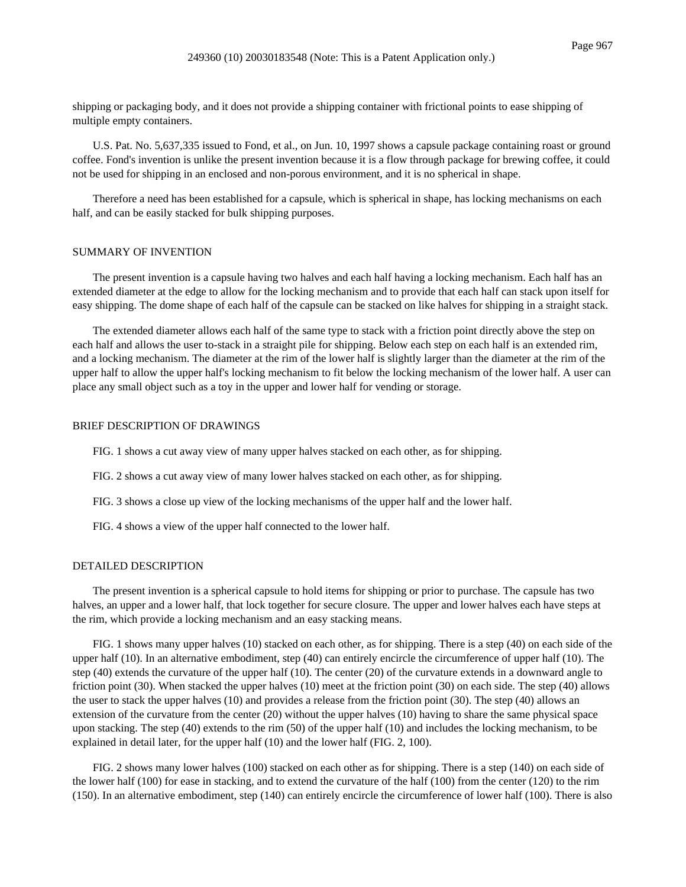shipping or packaging body, and it does not provide a shipping container with frictional points to ease shipping of multiple empty containers.

U.S. Pat. No. 5,637,335 issued to Fond, et al., on Jun. 10, 1997 shows a capsule package containing roast or ground coffee. Fond's invention is unlike the present invention because it is a flow through package for brewing coffee, it could not be used for shipping in an enclosed and non-porous environment, and it is no spherical in shape.

Therefore a need has been established for a capsule, which is spherical in shape, has locking mechanisms on each half, and can be easily stacked for bulk shipping purposes.

## SUMMARY OF INVENTION

The present invention is a capsule having two halves and each half having a locking mechanism. Each half has an extended diameter at the edge to allow for the locking mechanism and to provide that each half can stack upon itself for easy shipping. The dome shape of each half of the capsule can be stacked on like halves for shipping in a straight stack.

The extended diameter allows each half of the same type to stack with a friction point directly above the step on each half and allows the user to-stack in a straight pile for shipping. Below each step on each half is an extended rim, and a locking mechanism. The diameter at the rim of the lower half is slightly larger than the diameter at the rim of the upper half to allow the upper half's locking mechanism to fit below the locking mechanism of the lower half. A user can place any small object such as a toy in the upper and lower half for vending or storage.

## BRIEF DESCRIPTION OF DRAWINGS

FIG. 1 shows a cut away view of many upper halves stacked on each other, as for shipping.

- FIG. 2 shows a cut away view of many lower halves stacked on each other, as for shipping.
- FIG. 3 shows a close up view of the locking mechanisms of the upper half and the lower half.
- FIG. 4 shows a view of the upper half connected to the lower half.

#### DETAILED DESCRIPTION

The present invention is a spherical capsule to hold items for shipping or prior to purchase. The capsule has two halves, an upper and a lower half, that lock together for secure closure. The upper and lower halves each have steps at the rim, which provide a locking mechanism and an easy stacking means.

FIG. 1 shows many upper halves (10) stacked on each other, as for shipping. There is a step (40) on each side of the upper half (10). In an alternative embodiment, step (40) can entirely encircle the circumference of upper half (10). The step (40) extends the curvature of the upper half (10). The center (20) of the curvature extends in a downward angle to friction point (30). When stacked the upper halves (10) meet at the friction point (30) on each side. The step (40) allows the user to stack the upper halves (10) and provides a release from the friction point (30). The step (40) allows an extension of the curvature from the center (20) without the upper halves (10) having to share the same physical space upon stacking. The step (40) extends to the rim (50) of the upper half (10) and includes the locking mechanism, to be explained in detail later, for the upper half (10) and the lower half (FIG. 2, 100).

FIG. 2 shows many lower halves (100) stacked on each other as for shipping. There is a step (140) on each side of the lower half (100) for ease in stacking, and to extend the curvature of the half (100) from the center (120) to the rim (150). In an alternative embodiment, step (140) can entirely encircle the circumference of lower half (100). There is also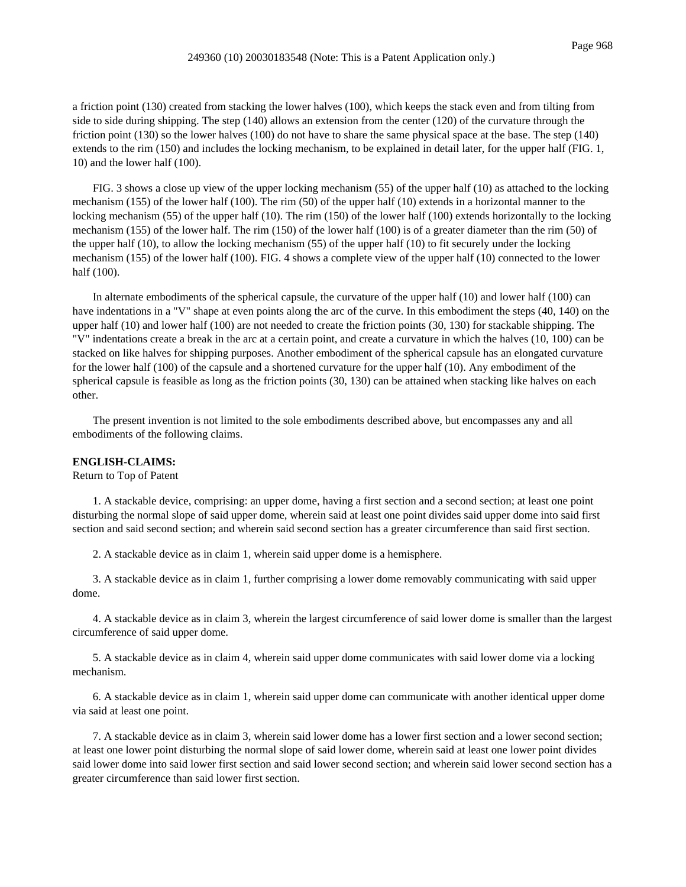a friction point (130) created from stacking the lower halves (100), which keeps the stack even and from tilting from side to side during shipping. The step (140) allows an extension from the center (120) of the curvature through the friction point (130) so the lower halves (100) do not have to share the same physical space at the base. The step (140) extends to the rim (150) and includes the locking mechanism, to be explained in detail later, for the upper half (FIG. 1, 10) and the lower half (100).

FIG. 3 shows a close up view of the upper locking mechanism (55) of the upper half (10) as attached to the locking mechanism (155) of the lower half (100). The rim (50) of the upper half (10) extends in a horizontal manner to the locking mechanism (55) of the upper half (10). The rim (150) of the lower half (100) extends horizontally to the locking mechanism (155) of the lower half. The rim (150) of the lower half (100) is of a greater diameter than the rim (50) of the upper half (10), to allow the locking mechanism (55) of the upper half (10) to fit securely under the locking mechanism (155) of the lower half (100). FIG. 4 shows a complete view of the upper half (10) connected to the lower half (100).

In alternate embodiments of the spherical capsule, the curvature of the upper half (10) and lower half (100) can have indentations in a "V" shape at even points along the arc of the curve. In this embodiment the steps (40, 140) on the upper half (10) and lower half (100) are not needed to create the friction points (30, 130) for stackable shipping. The "V" indentations create a break in the arc at a certain point, and create a curvature in which the halves (10, 100) can be stacked on like halves for shipping purposes. Another embodiment of the spherical capsule has an elongated curvature for the lower half (100) of the capsule and a shortened curvature for the upper half (10). Any embodiment of the spherical capsule is feasible as long as the friction points (30, 130) can be attained when stacking like halves on each other.

The present invention is not limited to the sole embodiments described above, but encompasses any and all embodiments of the following claims.

# **ENGLISH-CLAIMS:**

Return to Top of Patent

1. A stackable device, comprising: an upper dome, having a first section and a second section; at least one point disturbing the normal slope of said upper dome, wherein said at least one point divides said upper dome into said first section and said second section; and wherein said second section has a greater circumference than said first section.

2. A stackable device as in claim 1, wherein said upper dome is a hemisphere.

3. A stackable device as in claim 1, further comprising a lower dome removably communicating with said upper dome.

4. A stackable device as in claim 3, wherein the largest circumference of said lower dome is smaller than the largest circumference of said upper dome.

5. A stackable device as in claim 4, wherein said upper dome communicates with said lower dome via a locking mechanism.

6. A stackable device as in claim 1, wherein said upper dome can communicate with another identical upper dome via said at least one point.

7. A stackable device as in claim 3, wherein said lower dome has a lower first section and a lower second section; at least one lower point disturbing the normal slope of said lower dome, wherein said at least one lower point divides said lower dome into said lower first section and said lower second section; and wherein said lower second section has a greater circumference than said lower first section.